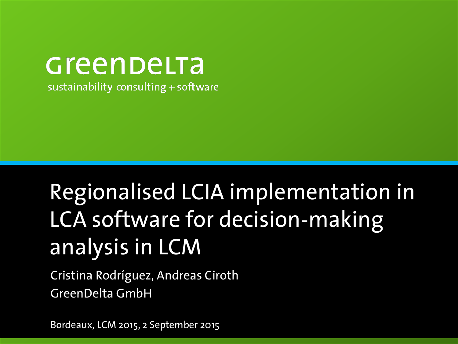#### Greenbelta sustainability consulting + software

# Regionalised LCIA implementation in LCA software for decision-making analysis in LCM

Cristina Rodríguez, Andreas Ciroth GreenDelta GmbH

Bordeaux, LCM 2015, 2 September 2015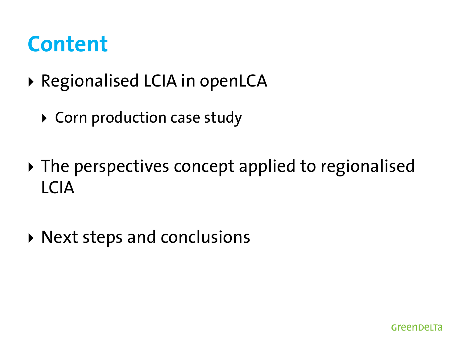#### **Content**

- ▶ Regionalised LCIA in openLCA
	- ▶ Corn production case study
- ▶ The perspectives concept applied to regionalised LCIA
- Next steps and conclusions

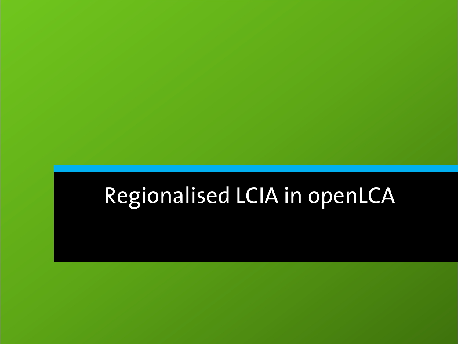# Regionalised LCIA in openLCA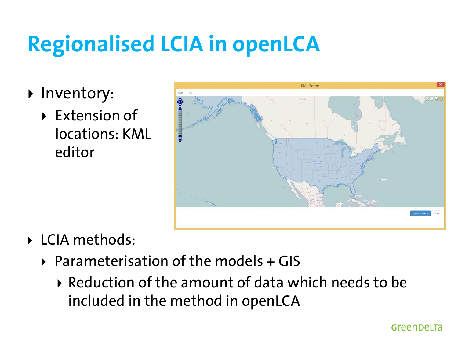# **Regionalised LCIA in openLCA**

- Inventory:
	- ▶ Extension of locations: KML editor



- LCIA methods:
	- $\triangleright$  Parameterisation of the models + GIS
		- $\triangleright$  Reduction of the amount of data which needs to be included in the method in openLCA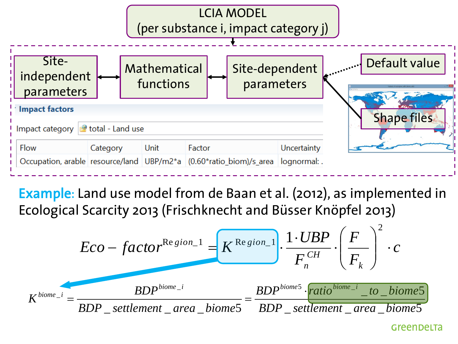

Example: Land use model from de Baan et al. (2012), as implemented in Ecological Scarcity 2013 (Frischknecht and Büsser Knöpfel 2013)



GreenDeLTa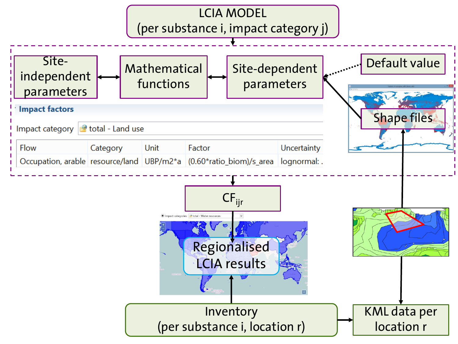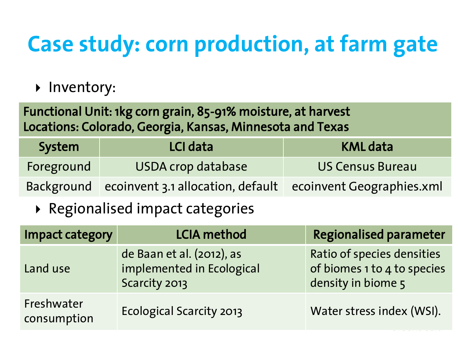# **Case study: corn production, at farm gate**

Inventory:

Functional Unit: 1kg corn grain, 85-91% moisture, at harvest Locations: Colorado, Georgia, Kansas, Minnesota and Texas

| System     | LCI data                                                               | KML data                |
|------------|------------------------------------------------------------------------|-------------------------|
| Foreground | <b>USDA crop database</b>                                              | <b>US Census Bureau</b> |
|            | Background ecoinvent 3.1 allocation, default ecoinvent Geographies.xml |                         |

▶ Regionalised impact categories

| <b>Impact category</b>    | <b>LCIA method</b>                                                      | <b>Regionalised parameter</b>                                                   |
|---------------------------|-------------------------------------------------------------------------|---------------------------------------------------------------------------------|
| Land use                  | de Baan et al. (2012), as<br>implemented in Ecological<br>Scarcity 2013 | Ratio of species densities<br>of biomes 1 to 4 to species<br>density in biome 5 |
| Freshwater<br>consumption | <b>Ecological Scarcity 2013</b>                                         | Water stress index (WSI).                                                       |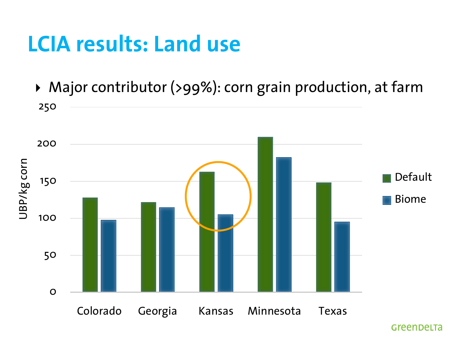#### **LCIA results: Land use**

250 ▶ Major contributor (>99%): corn grain production, at farm

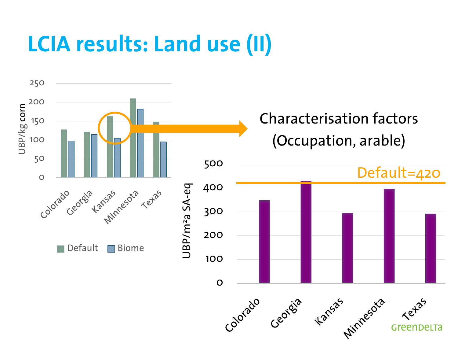## **LCIA results: Land use (II)**

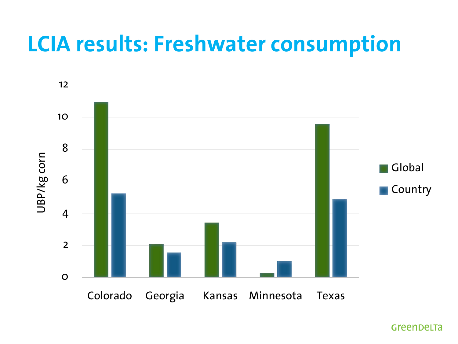#### **LCIA results: Freshwater consumption**



Greenbelta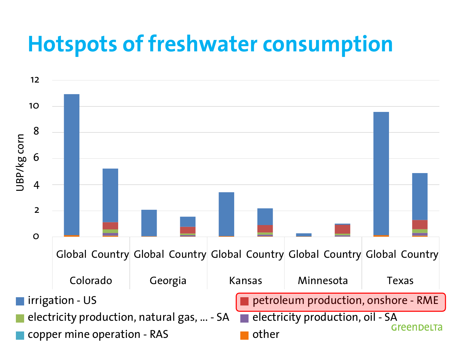#### **Hotspots of freshwater consumption**

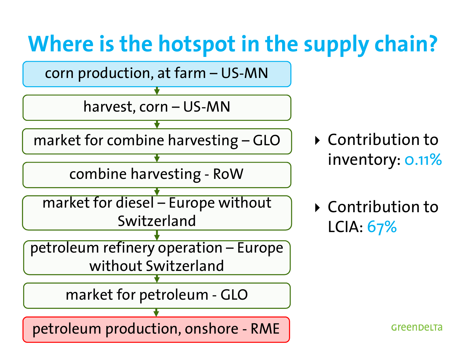# **Where is the hotspot in the supply chain?**



▶ Contribution to inventory: 0.11%

 Contribution to LCIA: 67%

Greenbelta

petroleum production, onshore - RME

market for petroleum - GLO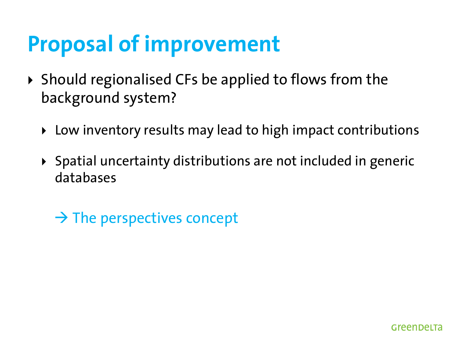## **Proposal of improvement**

- $\triangleright$  Should regionalised CFs be applied to flows from the background system?
	- ▶ Low inventory results may lead to high impact contributions
	- Spatial uncertainty distributions are not included in generic databases
		- $\rightarrow$  The perspectives concept

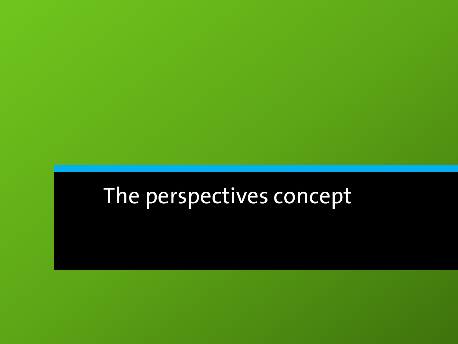# The perspectives concept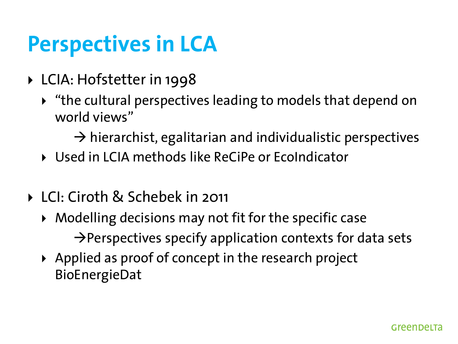## **Perspectives in LCA**

- ▶ LCIA: Hofstetter in 1998
	- "the cultural perspectives leading to models that depend on world views"

 $\rightarrow$  hierarchist, egalitarian and individualistic perspectives

- Used in LCIA methods like ReCiPe or EcoIndicator
- LCI: Ciroth & Schebek in 2011
	- Modelling decisions may not fit for the specific case  $\rightarrow$  Perspectives specify application contexts for data sets
	- $\triangleright$  Applied as proof of concept in the research project BioEnergieDat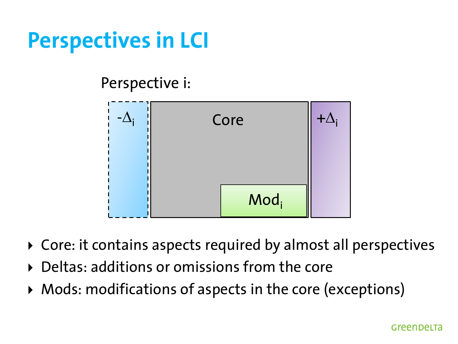## **Perspectives in LCI**

Perspective i:



- Core: it contains aspects required by almost all perspectives
- ▶ Deltas: additions or omissions from the core
- Mods: modifications of aspects in the core (exceptions)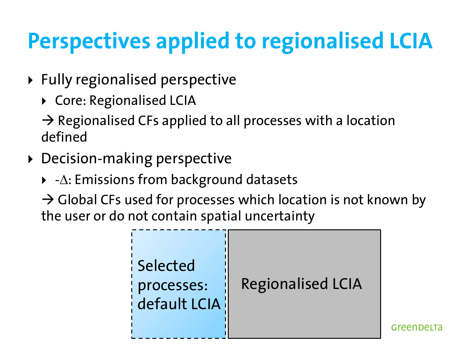# **Perspectives applied to regionalised LCIA**

- Fully regionalised perspective
	- ▶ Core: Regionalised LCIA

 $\rightarrow$  Regionalised CFs applied to all processes with a location defined

- Decision-making perspective
	- $\blacktriangleright$  - $\Delta$ : Emissions from background datasets

 $\rightarrow$  Global CFs used for processes which location is not known by the user or do not contain spatial uncertainty



**GreenDeLT**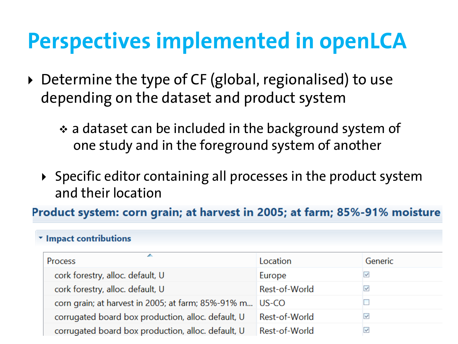#### **Perspectives implemented in openLCA**

- ▶ Determine the type of CF (global, regionalised) to use depending on the dataset and product system
	- \* a dataset can be included in the background system of one study and in the foreground system of another
	- $\triangleright$  Specific editor containing all processes in the product system and their location

Product system: corn grain; at harvest in 2005; at farm; 85%-91% moisture

#### \* Impact contributions

| Process                                                  | Location      | Generic      |
|----------------------------------------------------------|---------------|--------------|
| cork forestry, alloc. default, U                         | Europe        | $\mathbb{R}$ |
| cork forestry, alloc. default, U                         | Rest-of-World | $\mathbb{R}$ |
| corn grain; at harvest in 2005; at farm; 85%-91% m US-CO |               |              |
| corrugated board box production, alloc. default, U       | Rest-of-World |              |
| corrugated board box production, alloc. default, U       | Rest-of-World | M            |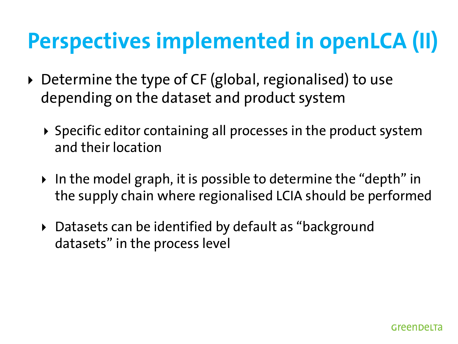# **Perspectives implemented in openLCA (II)**

- ▶ Determine the type of CF (global, regionalised) to use depending on the dataset and product system
	- $\triangleright$  Specific editor containing all processes in the product system and their location
	- ▶ In the model graph, it is possible to determine the "depth" in the supply chain where regionalised LCIA should be performed
	- ▶ Datasets can be identified by default as "background datasets" in the process level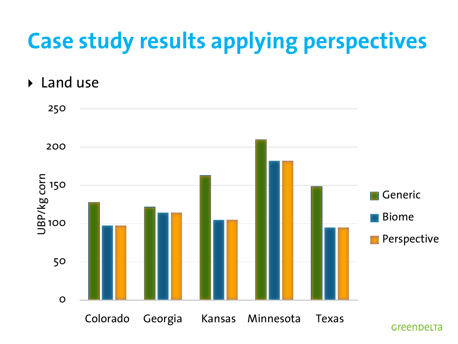# **Case study results applying perspectives**

▶ Land use

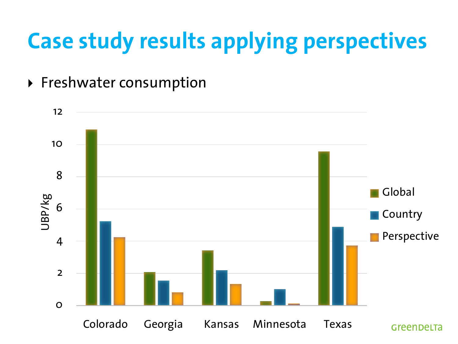# **Case study results applying perspectives**

▶ Freshwater consumption

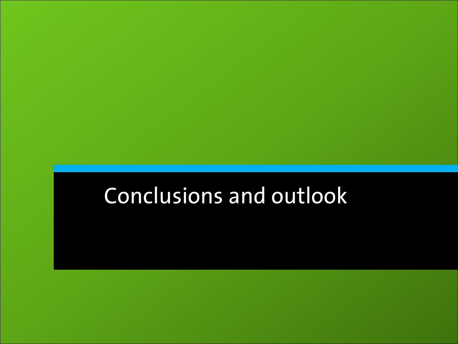## Conclusions and outlook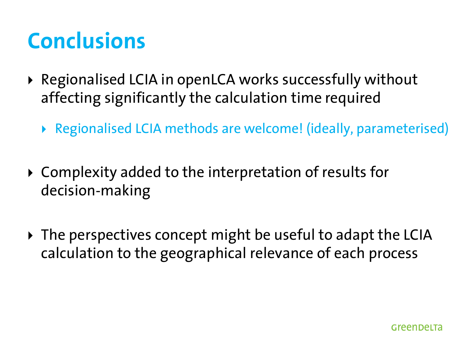## **Conclusions**

- ▶ Regionalised LCIA in openLCA works successfully without affecting significantly the calculation time required
	- Regionalised LCIA methods are welcome! (ideally, parameterised)
- Complexity added to the interpretation of results for decision-making
- The perspectives concept might be useful to adapt the LCIA calculation to the geographical relevance of each process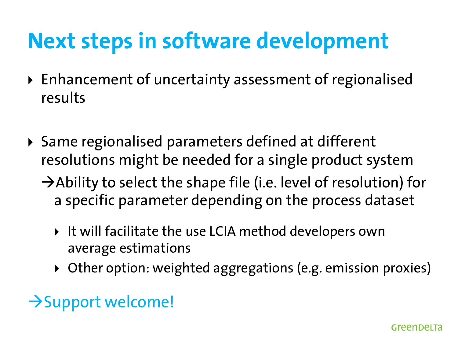## **Next steps in software development**

- Enhancement of uncertainty assessment of regionalised results
- ▶ Same regionalised parameters defined at different resolutions might be needed for a single product system  $\rightarrow$  Ability to select the shape file (i.e. level of resolution) for a specific parameter depending on the process dataset
	- ▶ It will facilitate the use LCIA method developers own average estimations
	- Other option: weighted aggregations (e.g. emission proxies)

#### $\rightarrow$  Support welcome!